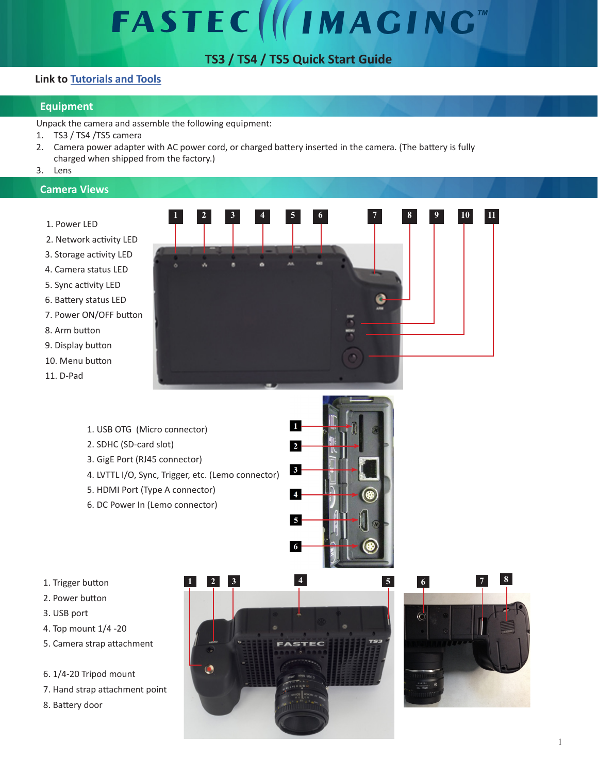# **FASTEC IMAGING**

# **TS3 / TS4 / TS5 Quick Start Guide**

## **Link to [Tutorials and Tools](http://fastecimaging.com/Tutorials/Tutorial%20Links.pdf)**

### **Equipment**

Unpack the camera and assemble the following equipment:

- 1. TS3 / TS4 /TS5 camera
- 2. Camera power adapter with AC power cord, or charged battery inserted in the camera. (The battery is fully charged when shipped from the factory.)
- 3. Lens

#### **Camera Views**

- 1. Power LED
- 2. Network activity LED
- 3. Storage activity LED
- 4. Camera status LED
- 5. Sync activity LED
- 6. Battery status LED
- 7. Power ON/OFF button
- 8. Arm button
- 9. Display button
- 10. Menu button
- 11. D-Pad



- 1. USB OTG (Micro connector)
- 2. SDHC (SD-card slot)
- 3. GigE Port (RJ45 connector)
- 4. LVTTL I/O, Sync, Trigger, etc. (Lemo connector)
- 5. HDMI Port (Type A connector)
- 6. DC Power In (Lemo connector)



- 1. Trigger button
- 2. Power button
- 3. USB port
- 4. Top mount 1/4 -20
- 5. Camera strap attachment
- 6. 1/4-20 Tripod mount
- 7. Hand strap attachment point
- 8. Battery door



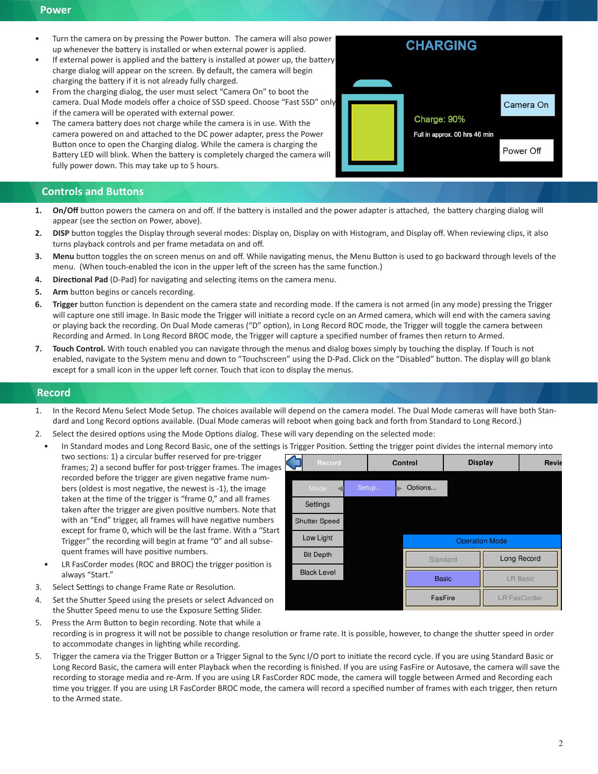#### **Power**

- Turn the camera on by pressing the Power button. The camera will also power up whenever the battery is installed or when external power is applied.
- If external power is applied and the battery is installed at power up, the battery charge dialog will appear on the screen. By default, the camera will begin charging the battery if it is not already fully charged.
- From the charging dialog, the user must select "Camera On" to boot the camera. Dual Mode models offer a choice of SSD speed. Choose "Fast SSD" only if the camera will be operated with external power.
- The camera battery does not charge while the camera is in use. With the camera powered on and attached to the DC power adapter, press the Power Button once to open the Charging dialog. While the camera is charging the Battery LED will blink. When the battery is completely charged the camera will fully power down. This may take up to 5 hours.



#### **Controls and Buttons**

- **1. On/Off** button powers the camera on and off. If the battery is installed and the power adapter is attached, the battery charging dialog will appear (see the section on Power, above).
- **2. DISP** button toggles the Display through several modes: Display on, Display on with Histogram, and Display off. When reviewing clips, it also turns playback controls and per frame metadata on and off.
- **3. Menu** button toggles the on screen menus on and off. While navigating menus, the Menu Button is used to go backward through levels of the menu. (When touch-enabled the icon in the upper left of the screen has the same function.)
- **4. Directional Pad** (D-Pad) for navigating and selecting items on the camera menu.
- **5. Arm** button begins or cancels recording.
- **6. Trigger** button function is dependent on the camera state and recording mode. If the camera is not armed (in any mode) pressing the Trigger will capture one still image. In Basic mode the Trigger will initiate a record cycle on an Armed camera, which will end with the camera saving or playing back the recording. On Dual Mode cameras ("D" option), in Long Record ROC mode, the Trigger will toggle the camera between Recording and Armed. In Long Record BROC mode, the Trigger will capture a specified number of frames then return to Armed.
- **7. Touch Control.** With touch enabled you can navigate through the menus and dialog boxes simply by touching the display. If Touch is not enabled, navigate to the System menu and down to "Touchscreen" using the D-Pad. Click on the "Disabled" button. The display will go blank except for a small icon in the upper left corner. Touch that icon to display the menus.

#### **Record**

- 1. In the Record Menu Select Mode Setup. The choices available will depend on the camera model. The Dual Mode cameras will have both Standard and Long Record options available. (Dual Mode cameras will reboot when going back and forth from Standard to Long Record.)
- 2. Select the desired options using the Mode Options dialog. These will vary depending on the selected mode:
- In Standard modes and Long Record Basic, one of the settings is Trigger Position. Setting the trigger point divides the internal memory into

two sections: 1) a circular buffer reserved for pre-trigger frames; 2) a second buffer for post-trigger frames. The images recorded before the trigger are given negative frame numbers (oldest is most negative, the newest is -1), the image taken at the time of the trigger is "frame 0," and all frames taken after the trigger are given positive numbers. Note that with an "End" trigger, all frames will have negative numbers except for frame 0, which will be the last frame. With a "Start Trigger" the recording will begin at frame "0" and all subsequent frames will have positive numbers.

- LR FasCorder modes (ROC and BROC) the trigger position is always "Start."
- 3. Select Settings to change Frame Rate or Resolution.
- 4. Set the Shutter Speed using the presets or select Advanced on the Shutter Speed menu to use the Exposure Setting Slider.

| Record               |       | Control               |  | <b>Display</b> |                     |
|----------------------|-------|-----------------------|--|----------------|---------------------|
| Mode                 | Setup | Options               |  |                |                     |
| Settings             |       |                       |  |                |                     |
| <b>Shutter Speed</b> |       |                       |  |                |                     |
| Low Light            |       | <b>Operation Mode</b> |  |                |                     |
| <b>Bit Depth</b>     |       | Standard              |  |                | Long Record         |
| <b>Black Level</b>   |       | <b>Basic</b>          |  |                | <b>LR Basic</b>     |
|                      |       | FasFire               |  |                | <b>LR FasCorder</b> |

- 5. Press the Arm Button to begin recording. Note that while a recording is in progress it will not be possible to change resolution or frame rate. It is possible, however, to change the shutter speed in order to accommodate changes in lighting while recording.
- 5. Trigger the camera via the Trigger Button or a Trigger Signal to the Sync I/O port to initiate the record cycle. If you are using Standard Basic or Long Record Basic, the camera will enter Playback when the recording is finished. If you are using FasFire or Autosave, the camera will save the recording to storage media and re-Arm. If you are using LR FasCorder ROC mode, the camera will toggle between Armed and Recording each time you trigger. If you are using LR FasCorder BROC mode, the camera will record a specified number of frames with each trigger, then return to the Armed state.